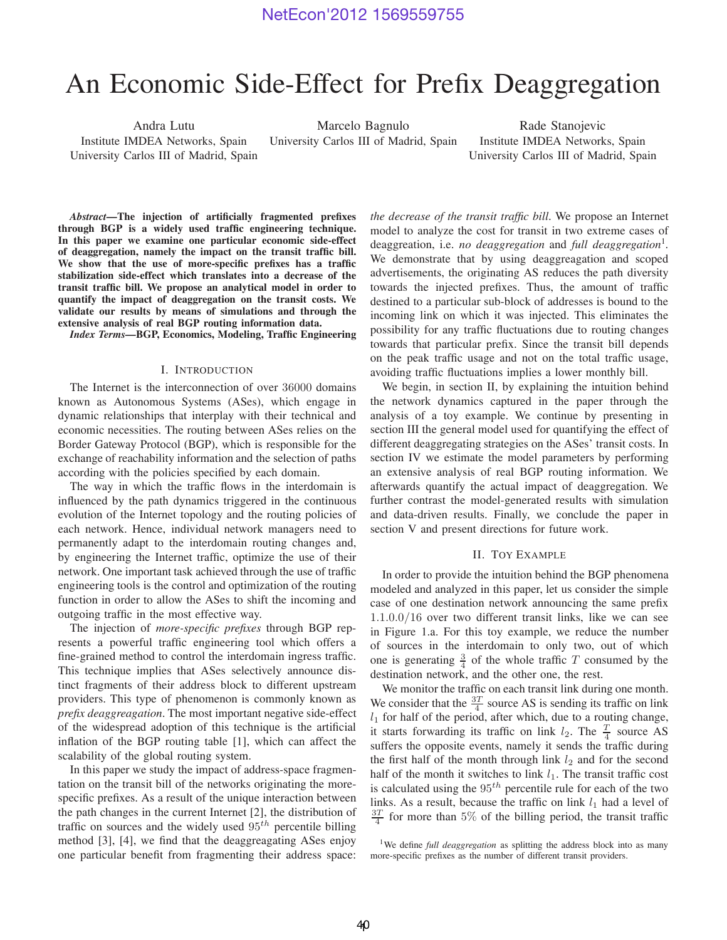# An Economic Side-Effect for Prefix Deaggregation

Andra Lutu Institute IMDEA Networks, Spain University Carlos III of Madrid, Spain

Marcelo Bagnulo University Carlos III of Madrid, Spain

Rade Stanojevic Institute IMDEA Networks, Spain University Carlos III of Madrid, Spain

*Abstract***—The injection of artificially fragmented prefixes through BGP is a widely used traffic engineering technique. In this paper we examine one particular economic side-effect of deaggregation, namely the impact on the transit traffic bill. We show that the use of more-specific prefixes has a traffic stabilization side-effect which translates into a decrease of the transit traffic bill. We propose an analytical model in order to quantify the impact of deaggregation on the transit costs. We validate our results by means of simulations and through the extensive analysis of real BGP routing information data.**

*Index Terms***—BGP, Economics, Modeling, Traffic Engineering**

## I. INTRODUCTION

The Internet is the interconnection of over 36000 domains known as Autonomous Systems (ASes), which engage in dynamic relationships that interplay with their technical and economic necessities. The routing between ASes relies on the Border Gateway Protocol (BGP), which is responsible for the exchange of reachability information and the selection of paths according with the policies specified by each domain.

The way in which the traffic flows in the interdomain is influenced by the path dynamics triggered in the continuous evolution of the Internet topology and the routing policies of each network. Hence, individual network managers need to permanently adapt to the interdomain routing changes and, by engineering the Internet traffic, optimize the use of their network. One important task achieved through the use of traffic engineering tools is the control and optimization of the routing function in order to allow the ASes to shift the incoming and outgoing traffic in the most effective way.

The injection of *more-specific prefixes* through BGP represents a powerful traffic engineering tool which offers a fine-grained method to control the interdomain ingress traffic. This technique implies that ASes selectively announce distinct fragments of their address block to different upstream providers. This type of phenomenon is commonly known as *prefix deaggreagation*. The most important negative side-effect of the widespread adoption of this technique is the artificial inflation of the BGP routing table [1], which can affect the scalability of the global routing system.

In this paper we study the impact of address-space fragmentation on the transit bill of the networks originating the morespecific prefixes. As a result of the unique interaction between the path changes in the current Internet [2], the distribution of traffic on sources and the widely used  $95<sup>th</sup>$  percentile billing method [3], [4], we find that the deaggreagating ASes enjoy one particular benefit from fragmenting their address space: *the decrease of the transit traffic bill*. We propose an Internet model to analyze the cost for transit in two extreme cases of deaggreation, i.e. *no deaggregation* and *full deaggregation*<sup>1</sup> . We demonstrate that by using deaggreagation and scoped advertisements, the originating AS reduces the path diversity towards the injected prefixes. Thus, the amount of traffic destined to a particular sub-block of addresses is bound to the incoming link on which it was injected. This eliminates the possibility for any traffic fluctuations due to routing changes towards that particular prefix. Since the transit bill depends on the peak traffic usage and not on the total traffic usage, avoiding traffic fluctuations implies a lower monthly bill.

We begin, in section II, by explaining the intuition behind the network dynamics captured in the paper through the analysis of a toy example. We continue by presenting in section III the general model used for quantifying the effect of different deaggregating strategies on the ASes' transit costs. In section IV we estimate the model parameters by performing an extensive analysis of real BGP routing information. We afterwards quantify the actual impact of deaggregation. We further contrast the model-generated results with simulation and data-driven results. Finally, we conclude the paper in section V and present directions for future work.

## II. TOY EXAMPLE

In order to provide the intuition behind the BGP phenomena modeled and analyzed in this paper, let us consider the simple case of one destination network announcing the same prefix 1.1.0.0/16 over two different transit links, like we can see in Figure 1.a. For this toy example, we reduce the number of sources in the interdomain to only two, out of which one is generating  $\frac{3}{4}$  of the whole traffic T consumed by the destination network, and the other one, the rest.

We monitor the traffic on each transit link during one month. We consider that the  $\frac{3T}{4}$  source AS is sending its traffic on link  $l_1$  for half of the period, after which, due to a routing change, it starts forwarding its traffic on link  $l_2$ . The  $\frac{T}{4}$  source AS suffers the opposite events, namely it sends the traffic during the first half of the month through link  $l_2$  and for the second half of the month it switches to link  $l_1$ . The transit traffic cost is calculated using the  $95<sup>th</sup>$  percentile rule for each of the two links. As a result, because the traffic on link  $l_1$  had a level of  $\frac{3T}{4}$  for more than 5% of the billing period, the transit traffic

<sup>1</sup>We define *full deaggregation* as splitting the address block into as many more-specific prefixes as the number of different transit providers.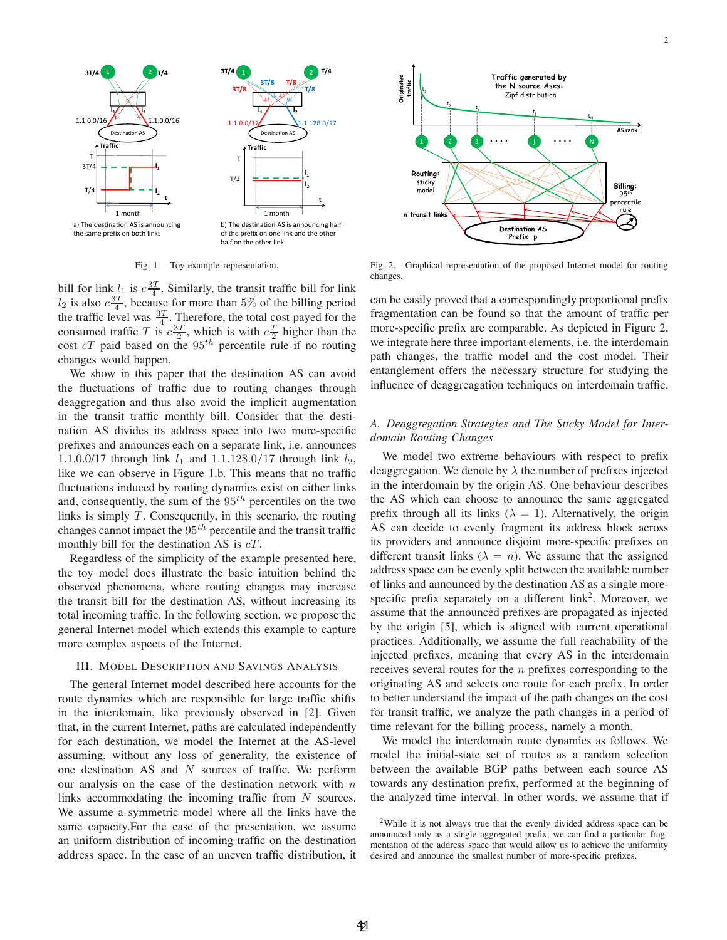

Fig. 1. Toy example representation.

bill for link  $l_1$  is  $c \frac{3T}{4}$ . Similarly, the transit traffic bill for link  $l_2$  is also  $c \frac{3T}{4}$ , because for more than 5% of the billing period the traffic level was  $\frac{3T}{4}$ . Therefore, the total cost payed for the consumed traffic T is  $c \frac{3T}{2}$ , which is with  $c \frac{T}{2}$  higher than the cost  $cT$  paid based on the  $95<sup>th</sup>$  percentile rule if no routing changes would happen.

We show in this paper that the destination AS can avoid the fluctuations of traffic due to routing changes through deaggregation and thus also avoid the implicit augmentation in the transit traffic monthly bill. Consider that the destination AS divides its address space into two more-specific prefixes and announces each on a separate link, i.e. announces 1.1.0.0/17 through link  $l_1$  and 1.1.128.0/17 through link  $l_2$ , like we can observe in Figure 1.b. This means that no traffic fluctuations induced by routing dynamics exist on either links and, consequently, the sum of the  $95<sup>th</sup>$  percentiles on the two links is simply  $T$ . Consequently, in this scenario, the routing changes cannot impact the  $95<sup>th</sup>$  percentile and the transit traffic monthly bill for the destination AS is  $cT$ .

Regardless of the simplicity of the example presented here, the toy model does illustrate the basic intuition behind the observed phenomena, where routing changes may increase the transit bill for the destination AS, without increasing its total incoming traffic. In the following section, we propose the general Internet model which extends this example to capture more complex aspects of the Internet.

## III. MODEL DESCRIPTION AND SAVINGS ANALYSIS

The general Internet model described here accounts for the route dynamics which are responsible for large traffic shifts in the interdomain, like previously observed in [2]. Given that, in the current Internet, paths are calculated independently for each destination, we model the Internet at the AS-level assuming, without any loss of generality, the existence of one destination AS and  $N$  sources of traffic. We perform our analysis on the case of the destination network with  $n$ links accommodating the incoming traffic from N sources. We assume a symmetric model where all the links have the same capacity.For the ease of the presentation, we assume an uniform distribution of incoming traffic on the destination address space. In the case of an uneven traffic distribution, it



Fig. 2. Graphical representation of the proposed Internet model for routing changes.

can be easily proved that a correspondingly proportional prefix fragmentation can be found so that the amount of traffic per more-specific prefix are comparable. As depicted in Figure 2, we integrate here three important elements, i.e. the interdomain path changes, the traffic model and the cost model. Their entanglement offers the necessary structure for studying the influence of deaggreagation techniques on interdomain traffic.

## *A. Deaggregation Strategies and The Sticky Model for Interdomain Routing Changes*

We model two extreme behaviours with respect to prefix deaggregation. We denote by  $\lambda$  the number of prefixes injected in the interdomain by the origin AS. One behaviour describes the AS which can choose to announce the same aggregated prefix through all its links ( $\lambda = 1$ ). Alternatively, the origin AS can decide to evenly fragment its address block across its providers and announce disjoint more-specific prefixes on different transit links ( $\lambda = n$ ). We assume that the assigned address space can be evenly split between the available number of links and announced by the destination AS as a single morespecific prefix separately on a different  $link<sup>2</sup>$ . Moreover, we assume that the announced prefixes are propagated as injected by the origin [5], which is aligned with current operational practices. Additionally, we assume the full reachability of the injected prefixes, meaning that every AS in the interdomain receives several routes for the *n* prefixes corresponding to the originating AS and selects one route for each prefix. In order to better understand the impact of the path changes on the cost for transit traffic, we analyze the path changes in a period of time relevant for the billing process, namely a month.

We model the interdomain route dynamics as follows. We model the initial-state set of routes as a random selection between the available BGP paths between each source AS towards any destination prefix, performed at the beginning of the analyzed time interval. In other words, we assume that if

<sup>2</sup>While it is not always true that the evenly divided address space can be announced only as a single aggregated prefix, we can find a particular fragmentation of the address space that would allow us to achieve the uniformity desired and announce the smallest number of more-specific prefixes.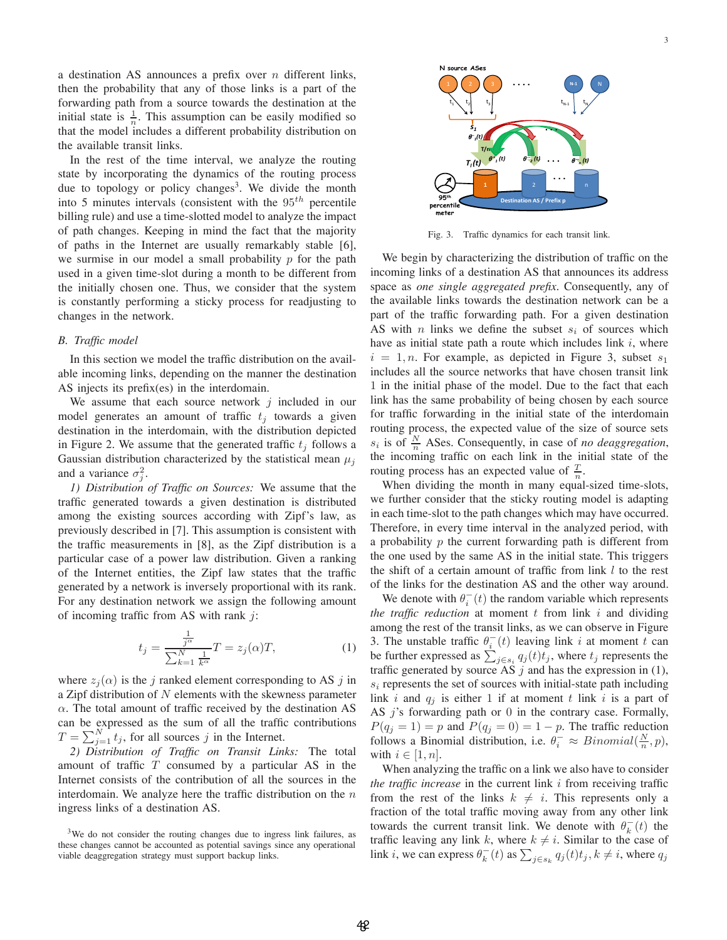a destination AS announces a prefix over  $n$  different links, then the probability that any of those links is a part of the forwarding path from a source towards the destination at the initial state is  $\frac{1}{n}$ . This assumption can be easily modified so that the model includes a different probability distribution on the available transit links.

In the rest of the time interval, we analyze the routing state by incorporating the dynamics of the routing process due to topology or policy changes<sup>3</sup>. We divide the month into 5 minutes intervals (consistent with the  $95<sup>th</sup>$  percentile billing rule) and use a time-slotted model to analyze the impact of path changes. Keeping in mind the fact that the majority of paths in the Internet are usually remarkably stable [6], we surmise in our model a small probability  $p$  for the path used in a given time-slot during a month to be different from the initially chosen one. Thus, we consider that the system is constantly performing a sticky process for readjusting to changes in the network.

#### *B. Traffic model*

In this section we model the traffic distribution on the available incoming links, depending on the manner the destination AS injects its prefix(es) in the interdomain.

We assume that each source network  $j$  included in our model generates an amount of traffic  $t_i$  towards a given destination in the interdomain, with the distribution depicted in Figure 2. We assume that the generated traffic  $t_i$  follows a Gaussian distribution characterized by the statistical mean  $\mu_i$ and a variance  $\sigma_j^2$ .

*1) Distribution of Traffic on Sources:* We assume that the traffic generated towards a given destination is distributed among the existing sources according with Zipf's law, as previously described in [7]. This assumption is consistent with the traffic measurements in [8], as the Zipf distribution is a particular case of a power law distribution. Given a ranking of the Internet entities, the Zipf law states that the traffic generated by a network is inversely proportional with its rank. For any destination network we assign the following amount of incoming traffic from AS with rank  $j$ :

$$
t_j = \frac{\frac{1}{j^{\alpha}}}{\sum_{k=1}^{N} \frac{1}{k^{\alpha}}} T = z_j(\alpha)T,
$$
 (1)

where  $z_i(\alpha)$  is the j ranked element corresponding to AS j in a Zipf distribution of  $N$  elements with the skewness parameter  $\alpha$ . The total amount of traffic received by the destination AS can be expressed as the sum of all the traffic contributions  $T = \sum_{j=1}^{N} t_j$ , for all sources j in the Internet.

*2) Distribution of Traffic on Transit Links:* The total amount of traffic  $T$  consumed by a particular AS in the Internet consists of the contribution of all the sources in the interdomain. We analyze here the traffic distribution on the  $n$ ingress links of a destination AS.



Fig. 3. Traffic dynamics for each transit link.

We begin by characterizing the distribution of traffic on the incoming links of a destination AS that announces its address space as *one single aggregated prefix*. Consequently, any of the available links towards the destination network can be a part of the traffic forwarding path. For a given destination AS with n links we define the subset  $s_i$  of sources which have as initial state path a route which includes link  $i$ , where  $i = 1, n$ . For example, as depicted in Figure 3, subset  $s_1$ includes all the source networks that have chosen transit link 1 in the initial phase of the model. Due to the fact that each link has the same probability of being chosen by each source for traffic forwarding in the initial state of the interdomain routing process, the expected value of the size of source sets  $s_i$  is of  $\frac{N}{n}$  ASes. Consequently, in case of *no deaggregation*, the incoming traffic on each link in the initial state of the routing process has an expected value of  $\frac{T}{n}$ .

When dividing the month in many equal-sized time-slots, we further consider that the sticky routing model is adapting in each time-slot to the path changes which may have occurred. Therefore, in every time interval in the analyzed period, with a probability  $p$  the current forwarding path is different from the one used by the same AS in the initial state. This triggers the shift of a certain amount of traffic from link  $l$  to the rest of the links for the destination AS and the other way around.

We denote with  $\theta_i^{-}(t)$  the random variable which represents *the traffic reduction* at moment  $t$  from link  $i$  and dividing among the rest of the transit links, as we can observe in Figure 3. The unstable traffic  $\theta_i^-(t)$  leaving link i at moment t can be further expressed as  $\sum_{j \in s_i} q_j(t) t_j$ , where  $t_j$  represents the traffic generated by source AS j and has the expression in (1),  $s_i$  represents the set of sources with initial-state path including link i and  $q_j$  is either 1 if at moment t link i is a part of AS  $j$ 's forwarding path or  $0$  in the contrary case. Formally,  $P(q_j = 1) = p$  and  $P(q_j = 0) = 1 - p$ . The traffic reduction follows a Binomial distribution, i.e.  $\theta_i^- \approx Binomial(\frac{N}{n}, p)$ , with  $i \in [1, n]$ .

When analyzing the traffic on a link we also have to consider *the traffic increase* in the current link i from receiving traffic from the rest of the links  $k \neq i$ . This represents only a fraction of the total traffic moving away from any other link towards the current transit link. We denote with  $\theta_k^-(t)$  the traffic leaving any link k, where  $k \neq i$ . Similar to the case of link *i*, we can express  $\theta_k^-(t)$  as  $\sum_{j \in s_k} q_j(t) t_j, k \neq i$ , where  $q_j$ 

<sup>&</sup>lt;sup>3</sup>We do not consider the routing changes due to ingress link failures, as these changes cannot be accounted as potential savings since any operational viable deaggregation strategy must support backup links.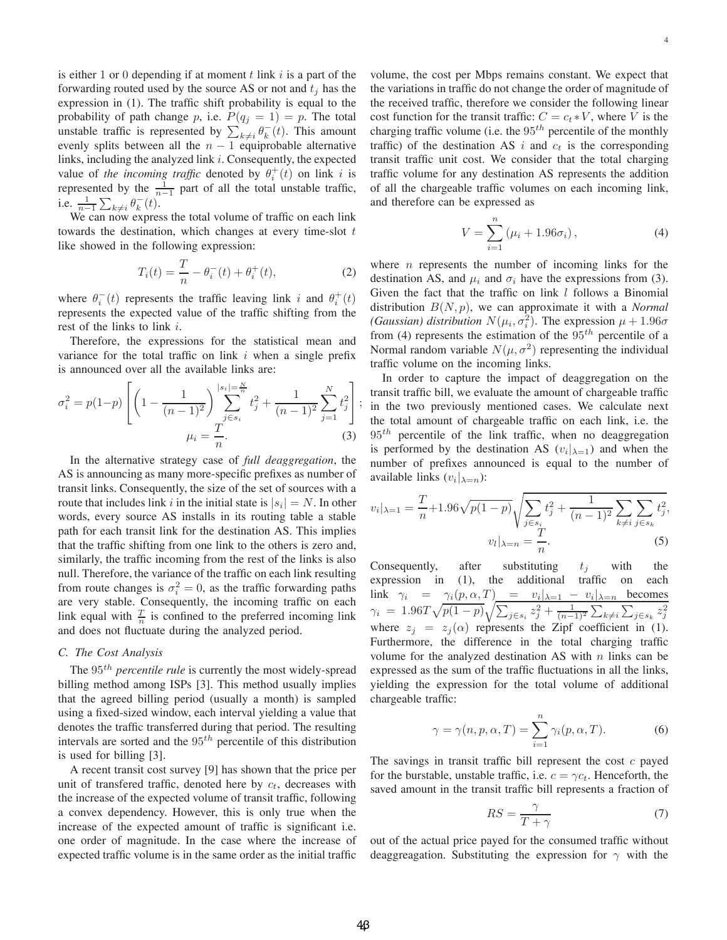is either 1 or 0 depending if at moment t link i is a part of the forwarding routed used by the source AS or not and  $t_i$  has the expression in (1). The traffic shift probability is equal to the probability of path change p, i.e.  $P(q_i = 1) = p$ . The total unstable traffic is represented by  $\sum_{k\neq i} \theta_k^-(t)$ . This amount evenly splits between all the  $n - 1$  equiprobable alternative links, including the analyzed link i. Consequently, the expected value of the incoming traffic denoted by  $\theta_i^+(t)$  on link i is represented by the  $\frac{1}{n-1}$  part of all the total unstable traffic, i.e.  $\frac{1}{n-1} \sum_{k \neq i} \theta_k^{-}(t)$ .

We can now express the total volume of traffic on each link towards the destination, which changes at every time-slot  $t$ like showed in the following expression:

$$
T_i(t) = \frac{T}{n} - \theta_i^-(t) + \theta_i^+(t),
$$
 (2)

where  $\theta_i^-(t)$  represents the traffic leaving link *i* and  $\theta_i^+(t)$ represents the expected value of the traffic shifting from the rest of the links to link i.

Therefore, the expressions for the statistical mean and variance for the total traffic on link  $i$  when a single prefix is announced over all the available links are:

$$
\sigma_i^2 = p(1-p) \left[ \left( 1 - \frac{1}{(n-1)^2} \right) \sum_{j \in s_i}^{|s_i| = \frac{N}{n}} t_j^2 + \frac{1}{(n-1)^2} \sum_{j=1}^N t_j^2 \right] + \mu_i = \frac{T}{n}.
$$
 (3)

In the alternative strategy case of *full deaggregation*, the AS is announcing as many more-specific prefixes as number of transit links. Consequently, the size of the set of sources with a route that includes link i in the initial state is  $|s_i| = N$ . In other words, every source AS installs in its routing table a stable path for each transit link for the destination AS. This implies that the traffic shifting from one link to the others is zero and, similarly, the traffic incoming from the rest of the links is also null. Therefore, the variance of the traffic on each link resulting from route changes is  $\sigma_i^2 = 0$ , as the traffic forwarding paths are very stable. Consequently, the incoming traffic on each link equal with  $\frac{T}{n}$  is confined to the preferred incoming link and does not fluctuate during the analyzed period.

## *C. The Cost Analysis*

The 95<sup>th</sup> *percentile rule* is currently the most widely-spread billing method among ISPs [3]. This method usually implies that the agreed billing period (usually a month) is sampled using a fixed-sized window, each interval yielding a value that denotes the traffic transferred during that period. The resulting intervals are sorted and the  $95<sup>th</sup>$  percentile of this distribution is used for billing [3].

A recent transit cost survey [9] has shown that the price per unit of transfered traffic, denoted here by  $c_t$ , decreases with the increase of the expected volume of transit traffic, following a convex dependency. However, this is only true when the increase of the expected amount of traffic is significant i.e. one order of magnitude. In the case where the increase of expected traffic volume is in the same order as the initial traffic volume, the cost per Mbps remains constant. We expect that the variations in traffic do not change the order of magnitude of the received traffic, therefore we consider the following linear cost function for the transit traffic:  $C = c_t * V$ , where V is the charging traffic volume (i.e. the  $95<sup>th</sup>$  percentile of the monthly traffic) of the destination AS i and  $c_t$  is the corresponding transit traffic unit cost. We consider that the total charging traffic volume for any destination AS represents the addition of all the chargeable traffic volumes on each incoming link, and therefore can be expressed as

$$
V = \sum_{i=1}^{n} (\mu_i + 1.96\sigma_i), \tag{4}
$$

where  $n$  represents the number of incoming links for the destination AS, and  $\mu_i$  and  $\sigma_i$  have the expressions from (3). Given the fact that the traffic on link  $l$  follows a Binomial distribution B(N, p), we can approximate it with a *Normal (Gaussian) distribution*  $N(\mu_i, \sigma_i^2)$ . The expression  $\mu + 1.96\sigma$ from (4) represents the estimation of the  $95<sup>th</sup>$  percentile of a Normal random variable  $N(\mu, \sigma^2)$  representing the individual traffic volume on the incoming links.

⎦ ; in the two previously mentioned cases. We calculate next In order to capture the impact of deaggregation on the transit traffic bill, we evaluate the amount of chargeable traffic the total amount of chargeable traffic on each link, i.e. the  $95<sup>th</sup>$  percentile of the link traffic, when no deaggregation is performed by the destination AS  $(v_i|_{\lambda=1})$  and when the number of prefixes announced is equal to the number of available links  $(v_i|_{\lambda=n})$ :

$$
v_i|_{\lambda=1} = \frac{T}{n} + 1.96\sqrt{p(1-p)} \sqrt{\sum_{j \in s_i} t_j^2 + \frac{1}{(n-1)^2} \sum_{k \neq i} \sum_{j \in s_k} t_j^2},
$$
  

$$
v_l|_{\lambda=n} = \frac{T}{n}.
$$
 (5)

Consequently, after substituting  $t_j$  with the expression in (1), the additional traffic on each expression in (1), the additional traffic on each link  $\gamma_i = \gamma_i(p, \alpha, T)$  =  $v_i|_{\lambda=1} - v_i|_{\lambda=n}$  becomes  $\gamma_i \; = \; 1.96 T \sqrt{p(1-p)} \sqrt{\sum_{j \in s_i} z_j^2 + \frac{1}{(n-1)^2} \sum_{k \neq i} \sum_{j \in s_k} z_j^2}$ where  $z_i = z_i(\alpha)$  represents the Zipf coefficient in (1). Furthermore, the difference in the total charging traffic volume for the analyzed destination AS with  $n$  links can be expressed as the sum of the traffic fluctuations in all the links, yielding the expression for the total volume of additional chargeable traffic:

$$
\gamma = \gamma(n, p, \alpha, T) = \sum_{i=1}^{n} \gamma_i(p, \alpha, T). \tag{6}
$$

The savings in transit traffic bill represent the cost  $c$  payed for the burstable, unstable traffic, i.e.  $c = \gamma c_t$ . Henceforth, the saved amount in the transit traffic bill represents a fraction of

$$
RS = \frac{\gamma}{T + \gamma} \tag{7}
$$

out of the actual price payed for the consumed traffic without deaggreagation. Substituting the expression for  $\gamma$  with the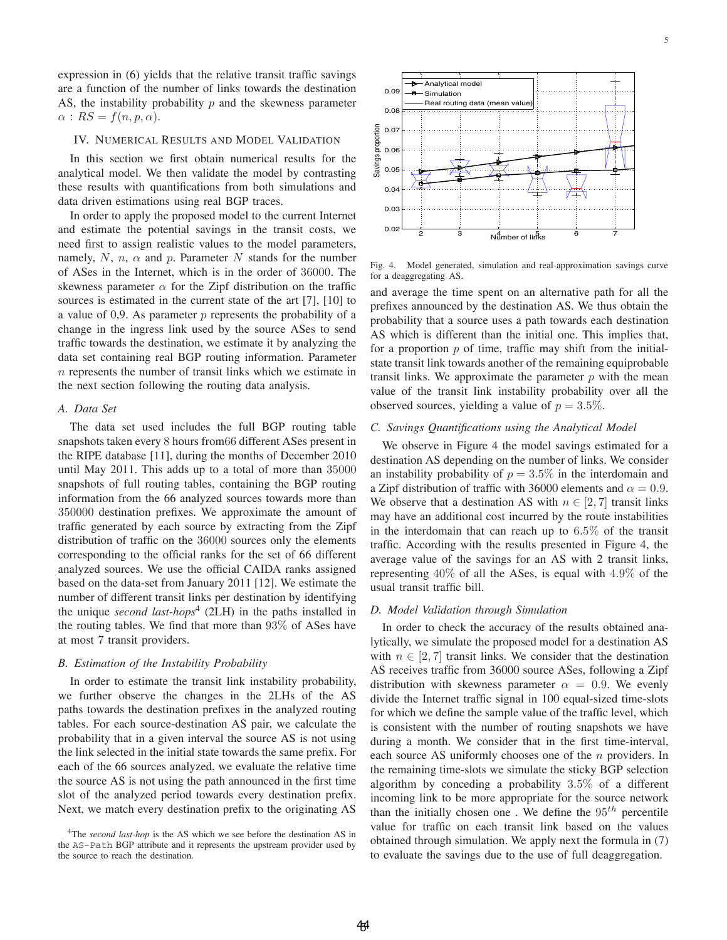expression in (6) yields that the relative transit traffic savings are a function of the number of links towards the destination AS, the instability probability  $p$  and the skewness parameter  $\alpha$  :  $RS = f(n, p, \alpha)$ .

### IV. NUMERICAL RESULTS AND MODEL VALIDATION

In this section we first obtain numerical results for the analytical model. We then validate the model by contrasting these results with quantifications from both simulations and data driven estimations using real BGP traces.

In order to apply the proposed model to the current Internet and estimate the potential savings in the transit costs, we need first to assign realistic values to the model parameters, namely, N, n,  $\alpha$  and p. Parameter N stands for the number of ASes in the Internet, which is in the order of 36000. The skewness parameter  $\alpha$  for the Zipf distribution on the traffic sources is estimated in the current state of the art [7], [10] to a value of 0,9. As parameter  $p$  represents the probability of a change in the ingress link used by the source ASes to send traffic towards the destination, we estimate it by analyzing the data set containing real BGP routing information. Parameter n represents the number of transit links which we estimate in the next section following the routing data analysis.

## *A. Data Set*

The data set used includes the full BGP routing table snapshots taken every 8 hours from66 different ASes present in the RIPE database [11], during the months of December 2010 until May 2011. This adds up to a total of more than 35000 snapshots of full routing tables, containing the BGP routing information from the 66 analyzed sources towards more than 350000 destination prefixes. We approximate the amount of traffic generated by each source by extracting from the Zipf distribution of traffic on the 36000 sources only the elements corresponding to the official ranks for the set of 66 different analyzed sources. We use the official CAIDA ranks assigned based on the data-set from January 2011 [12]. We estimate the number of different transit links per destination by identifying the unique *second last-hops*<sup>4</sup> (2LH) in the paths installed in the routing tables. We find that more than 93% of ASes have at most 7 transit providers.

#### *B. Estimation of the Instability Probability*

In order to estimate the transit link instability probability, we further observe the changes in the 2LHs of the AS paths towards the destination prefixes in the analyzed routing tables. For each source-destination AS pair, we calculate the probability that in a given interval the source AS is not using the link selected in the initial state towards the same prefix. For each of the 66 sources analyzed, we evaluate the relative time the source AS is not using the path announced in the first time slot of the analyzed period towards every destination prefix. Next, we match every destination prefix to the originating AS



Fig. 4. Model generated, simulation and real-approximation savings curve for a deaggregating AS.

and average the time spent on an alternative path for all the prefixes announced by the destination AS. We thus obtain the probability that a source uses a path towards each destination AS which is different than the initial one. This implies that, for a proportion  $p$  of time, traffic may shift from the initialstate transit link towards another of the remaining equiprobable transit links. We approximate the parameter  $p$  with the mean value of the transit link instability probability over all the observed sources, yielding a value of  $p = 3.5\%$ .

#### *C. Savings Quantifications using the Analytical Model*

We observe in Figure 4 the model savings estimated for a destination AS depending on the number of links. We consider an instability probability of  $p = 3.5\%$  in the interdomain and a Zipf distribution of traffic with 36000 elements and  $\alpha = 0.9$ . We observe that a destination AS with  $n \in [2, 7]$  transit links may have an additional cost incurred by the route instabilities in the interdomain that can reach up to 6.5% of the transit traffic. According with the results presented in Figure 4, the average value of the savings for an AS with 2 transit links, representing 40% of all the ASes, is equal with 4.9% of the usual transit traffic bill.

### *D. Model Validation through Simulation*

In order to check the accuracy of the results obtained analytically, we simulate the proposed model for a destination AS with  $n \in [2, 7]$  transit links. We consider that the destination AS receives traffic from 36000 source ASes, following a Zipf distribution with skewness parameter  $\alpha = 0.9$ . We evenly divide the Internet traffic signal in 100 equal-sized time-slots for which we define the sample value of the traffic level, which is consistent with the number of routing snapshots we have during a month. We consider that in the first time-interval, each source AS uniformly chooses one of the n providers. In the remaining time-slots we simulate the sticky BGP selection algorithm by conceding a probability 3.5% of a different incoming link to be more appropriate for the source network than the initially chosen one. We define the  $95<sup>th</sup>$  percentile value for traffic on each transit link based on the values obtained through simulation. We apply next the formula in (7) to evaluate the savings due to the use of full deaggregation.

<sup>&</sup>lt;sup>4</sup>The *second last-hop* is the AS which we see before the destination AS in the AS-Path BGP attribute and it represents the upstream provider used by the source to reach the destination.